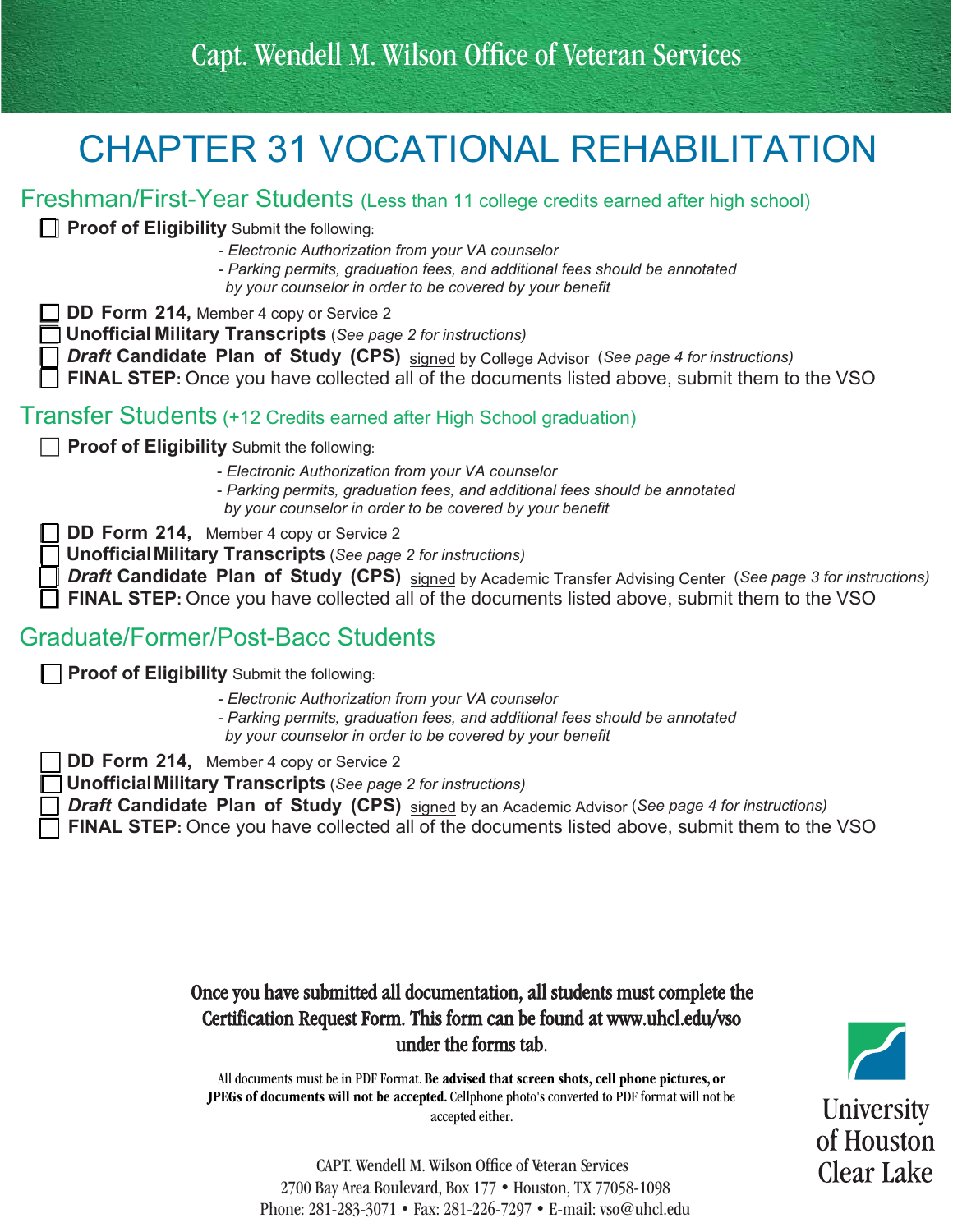## CHAPTER 31 VOCATIONAL REHABILITATION

### Freshman/First-Year Students (Less than 11 college credits earned after high school)

**Proof of Eligibility** Submit the following:

- *Electronic Authorization from your VA counselor*

- *Parking permits, graduation fees, and additional fees should be annotated by your counselor in order to be covered by your benefit*

**DD Form 214, Member 4 copy or Service 2** 

F **Unofficial Military Transcripts** (*See page 2 for instructions)*

F *Draft* **Candidate Plan of Study (CPS)** signed by College Advisor (*See page 4 for instructions)*

**FINAL STEP:** Once you have collected all of the documents listed above, submit them to the VSO

### Transfer Students (+12 Credits earned after High School graduation)

**FRICO Proof of Eligibility** Submit the following:

- *Electronic Authorization from your VA counselor*

- *Parking permits, graduation fees, and additional fees should be annotated by your counselor in order to be covered by your benefit*

**DD Form 214, Member 4 copy or Service 2** 

F **UnofficialMilitary Transcripts** (*See page 2 for instructions)*

F *Draft* **Candidate Plan of Study (CPS)** signed by Academic Transfer Advising Center (*See page 3 for instructions)* **FINAL STEP:** Once you have collected all of the documents listed above, submit them to the VSO

### Graduate/Former/Post-Bacc Students

**Proof of Eligibility** Submit the following:

- *Electronic Authorization from your VA counselor*

- *Parking permits, graduation fees, and additional fees should be annotated*
- *by your counselor in order to be covered by your benefit*

**DD Form 214, Member 4 copy or Service 2** 

F **UnofficialMilitary Transcripts** (*See page 2 for instructions)*

F *Draft* **Candidate Plan of Study (CPS)** signed by an Academic Advisor (*See page 4 for instructions)* **FINAL STEP:** Once you have collected all of the documents listed above, submit them to the VSO

> Once you have submitted all documentation, all students must complete the Certification Request Form. This form can be found at<www.uhcl.edu/vso> under the forms tab.

All documents must be in PDF Format. Be advised that screen shots, cell phone pictures, or JPEGs of documents will not be accepted. Cellphone photo's converted to PDF format will not be accepted either.



CAPT. Wendell M. Wilson Offce of Veteran Services 2700 Bay Area Boulevard, Box 177 • Houston, TX 77058-1098 Phone: 281-283-3071 • Fax: 281-226-7297 • E-mail: [vso@uhcl.edu](mailto:vso@uhcl.edu)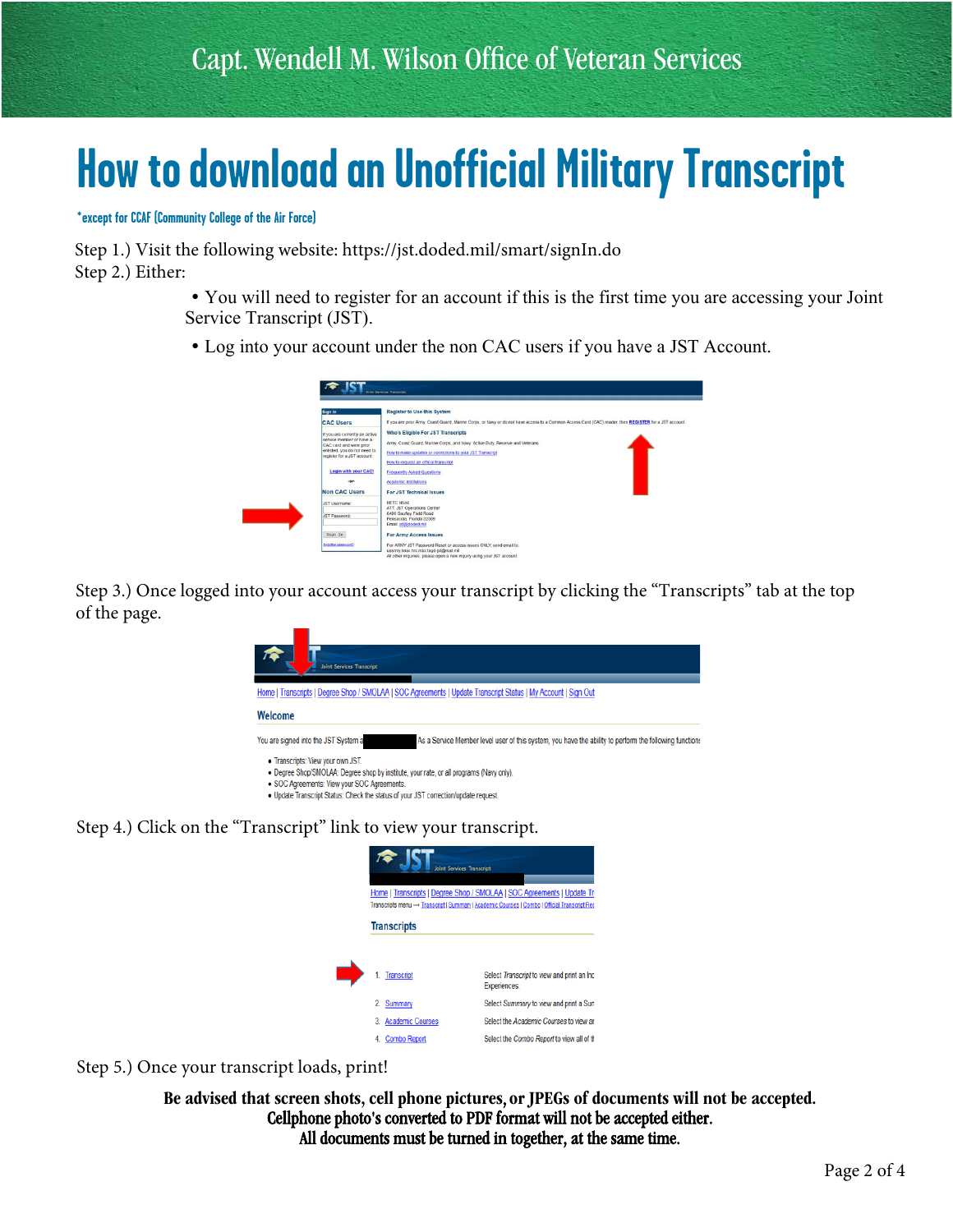## **How to download an Unofficial Military Transcript**

**\*except for CCAF (Community College of the Air Force)**

Step 1.) Visit the following website:<https://jst.doded.mil/smart/signIn.do> Step 2.) Either:

- You will need to register for an account if this is the first time you are accessing your Joint Service Transcript (JST).
- Log into your account under the non CAC users if you have a JST Account.



Step 3.) Once logged into your account access your transcript by clicking the "Transcripts" tab at the top of the page.



- · SOC Agreements: View your SOC Agreements.
- . Update Transcript Status: Check the status of your JST correction/update request.

Step 4.) Click on the "Transcript" link to view your transcript.



Step 5.) Once your transcript loads, print!

Be advised that screen shots, cell phone pictures, or JPEGs of documents will not be accepted. Cellphone photo's converted to PDF format will not be accepted either. All documents must be turned in together, at the same time.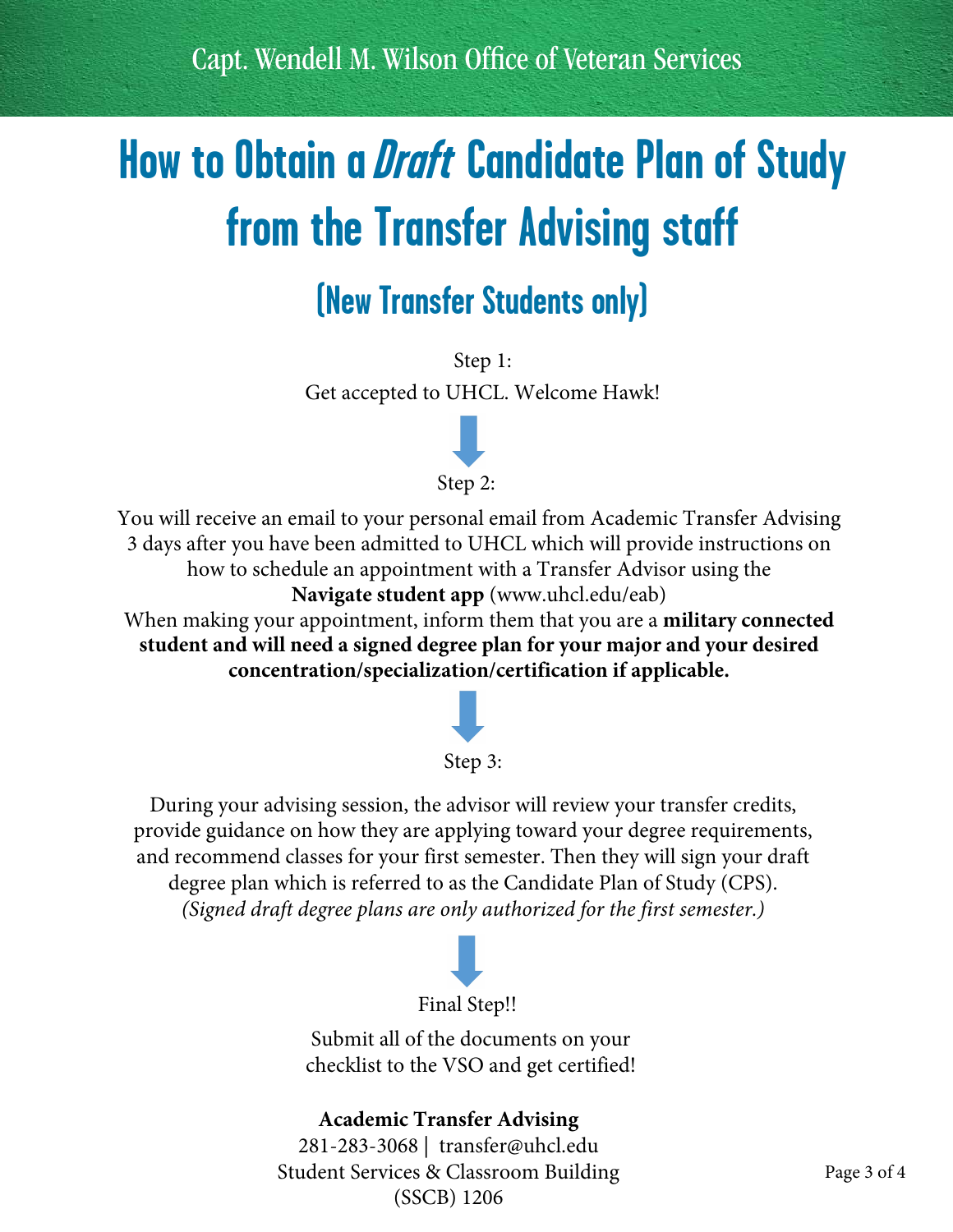Capt. Wendell M. Wilson Offce of Veteran Services

## **How to Obtain a Draft Candidate Plan of Study from the Transfer Advising staff**

## **(New Transfer Students only)**

Step 1: Get accepted to UHCL. Welcome Hawk!



You will receive an email to your personal email from Academic Transfer Advising 3 days after you have been admitted to UHCL which will provide instructions on how to schedule an appointment with a Transfer Advisor using the **Navigate student app** [\(www.uhcl.edu/eab\)](www.uhcl.edu/eab)

When making your appointment, inform them that you are a **military connected student and will need a signed degree plan for your major and your desired concentration/specialization/certification if applicable.**



#### Step 3:

During your advising session, the advisor will review your transfer credits, provide guidance on how they are applying toward your degree requirements, and recommend classes for your first semester. Then they will sign your draft degree plan which is referred to as the Candidate Plan of Study (CPS). *(Signed draft degree plans are only authorized for the first semester.)*



Submit all of the documents on your checklist to the VSO and get certified!

#### **Academic Transfer Advising**

281-283-3068 | [transfer@uhcl.edu](mailto:transfer@uhcl.edu) Student Services & Classroom Building (SSCB) 1206